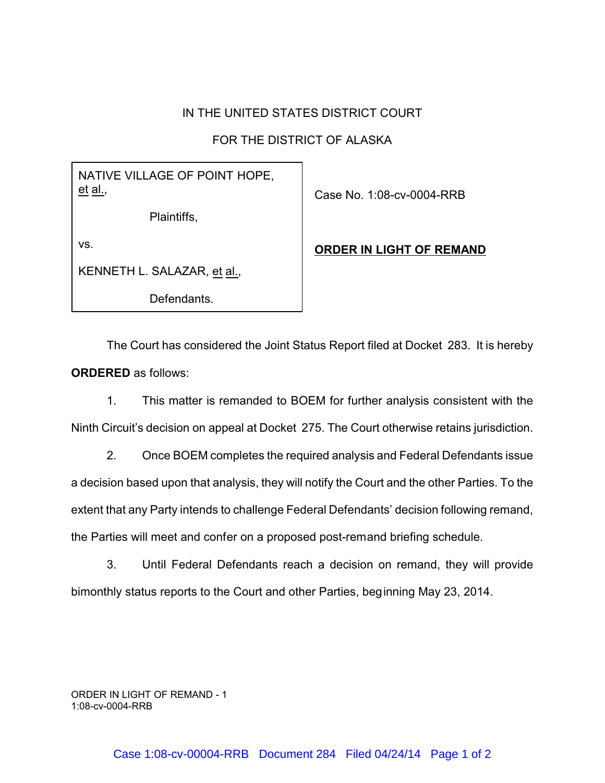## IN THE UNITED STATES DISTRICT COURT

## FOR THE DISTRICT OF ALASKA

## NATIVE VILLAGE OF POINT HOPE, et al.,

Plaintiffs,

vs.

KENNETH L. SALAZAR, et al.,

Defendants.

Case No. 1:08-cv-0004-RRB

## **ORDER IN LIGHT OF REMAND**

The Court has considered the Joint Status Report filed at Docket 283. It is hereby **ORDERED** as follows:

1. This matter is remanded to BOEM for further analysis consistent with the Ninth Circuit's decision on appeal at Docket 275. The Court otherwise retains jurisdiction.

2. Once BOEM completes the required analysis and Federal Defendants issue a decision based upon that analysis, they will notify the Court and the other Parties. To the extent that any Party intends to challenge Federal Defendants' decision following remand, the Parties will meet and confer on a proposed post-remand briefing schedule.

3. Until Federal Defendants reach a decision on remand, they will provide bimonthly status reports to the Court and other Parties, beginning May 23, 2014.

ORDER IN LIGHT OF REMAND - 1 1:08-cv-0004-RRB